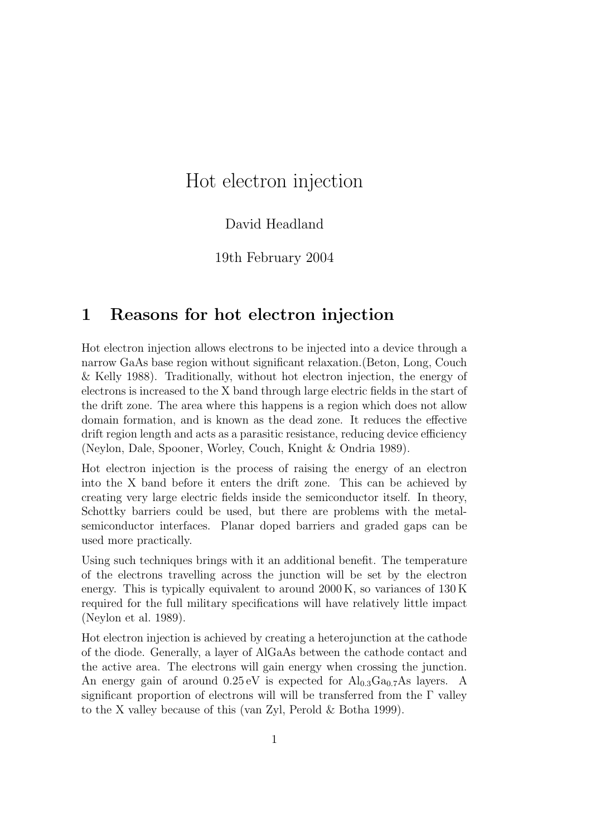# Hot electron injection

#### David Headland

19th February 2004

## 1 Reasons for hot electron injection

Hot electron injection allows electrons to be injected into a device through a narrow GaAs base region without significant relaxation.(Beton, Long, Couch & Kelly 1988). Traditionally, without hot electron injection, the energy of electrons is increased to the X band through large electric fields in the start of the drift zone. The area where this happens is a region which does not allow domain formation, and is known as the dead zone. It reduces the effective drift region length and acts as a parasitic resistance, reducing device efficiency (Neylon, Dale, Spooner, Worley, Couch, Knight & Ondria 1989).

Hot electron injection is the process of raising the energy of an electron into the X band before it enters the drift zone. This can be achieved by creating very large electric fields inside the semiconductor itself. In theory, Schottky barriers could be used, but there are problems with the metalsemiconductor interfaces. Planar doped barriers and graded gaps can be used more practically.

Using such techniques brings with it an additional benefit. The temperature of the electrons travelling across the junction will be set by the electron energy. This is typically equivalent to around 2000 K, so variances of 130 K required for the full military specifications will have relatively little impact (Neylon et al. 1989).

Hot electron injection is achieved by creating a heterojunction at the cathode of the diode. Generally, a layer of AlGaAs between the cathode contact and the active area. The electrons will gain energy when crossing the junction. An energy gain of around  $0.25 \text{ eV}$  is expected for  $\text{Al}_{0.3}\text{Ga}_{0.7}\text{As}$  layers. A significant proportion of electrons will will be transferred from the  $\Gamma$  valley to the X valley because of this (van Zyl, Perold & Botha 1999).